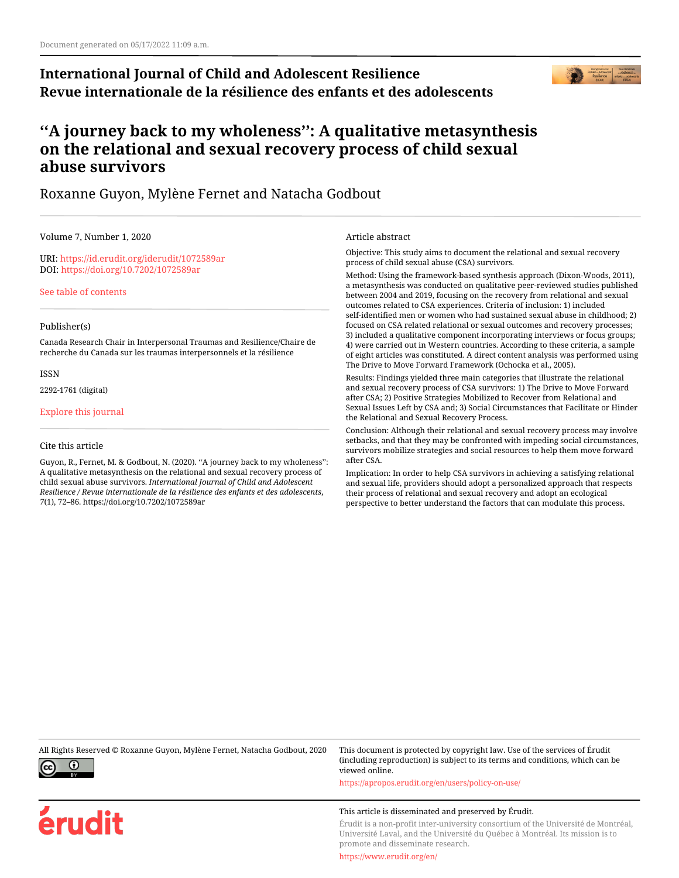# **International Journal of Child and Adolescent Resilience Revue internationale de la résilience des enfants et des adolescents**



# **''A journey back to my wholeness'': A qualitative metasynthesis on the relational and sexual recovery process of child sexual abuse survivors**

## Roxanne Guyon, Mylène Fernet and Natacha Godbout

Volume 7, Number 1, 2020

URI:<https://id.erudit.org/iderudit/1072589ar> DOI:<https://doi.org/10.7202/1072589ar>

[See table of contents](https://www.erudit.org/en/journals/ijcar/2020-v7-n1-ijcar05590/)

#### Publisher(s)

Canada Research Chair in Interpersonal Traumas and Resilience/Chaire de recherche du Canada sur les traumas interpersonnels et la résilience

ISSN

2292-1761 (digital)

[Explore this journal](https://www.erudit.org/en/journals/ijcar/)

#### Cite this article

Guyon, R., Fernet, M. & Godbout, N. (2020). ''A journey back to my wholeness'': A qualitative metasynthesis on the relational and sexual recovery process of child sexual abuse survivors. *International Journal of Child and Adolescent Resilience / Revue internationale de la résilience des enfants et des adolescents*, *7*(1), 72–86. https://doi.org/10.7202/1072589ar

#### Article abstract

Objective: This study aims to document the relational and sexual recovery process of child sexual abuse (CSA) survivors.

Method: Using the framework-based synthesis approach (Dixon-Woods, 2011), a metasynthesis was conducted on qualitative peer-reviewed studies published between 2004 and 2019, focusing on the recovery from relational and sexual outcomes related to CSA experiences. Criteria of inclusion: 1) included self-identified men or women who had sustained sexual abuse in childhood; 2) focused on CSA related relational or sexual outcomes and recovery processes; 3) included a qualitative component incorporating interviews or focus groups; 4) were carried out in Western countries. According to these criteria, a sample of eight articles was constituted. A direct content analysis was performed using The Drive to Move Forward Framework (Ochocka et al., 2005).

Results: Findings yielded three main categories that illustrate the relational and sexual recovery process of CSA survivors: 1) The Drive to Move Forward after CSA; 2) Positive Strategies Mobilized to Recover from Relational and Sexual Issues Left by CSA and; 3) Social Circumstances that Facilitate or Hinder the Relational and Sexual Recovery Process.

Conclusion: Although their relational and sexual recovery process may involve setbacks, and that they may be confronted with impeding social circumstances, survivors mobilize strategies and social resources to help them move forward after CSA.

Implication: In order to help CSA survivors in achieving a satisfying relational and sexual life, providers should adopt a personalized approach that respects their process of relational and sexual recovery and adopt an ecological perspective to better understand the factors that can modulate this process.

All Rights Reserved © Roxanne Guyon, Mylène Fernet, Natacha Godbout, 2020 This document is protected by copyright law. Use of the services of Érudit



érudit

viewed online. <https://apropos.erudit.org/en/users/policy-on-use/>

This article is disseminated and preserved by Érudit.

Érudit is a non-profit inter-university consortium of the Université de Montréal, Université Laval, and the Université du Québec à Montréal. Its mission is to promote and disseminate research.

(including reproduction) is subject to its terms and conditions, which can be

<https://www.erudit.org/en/>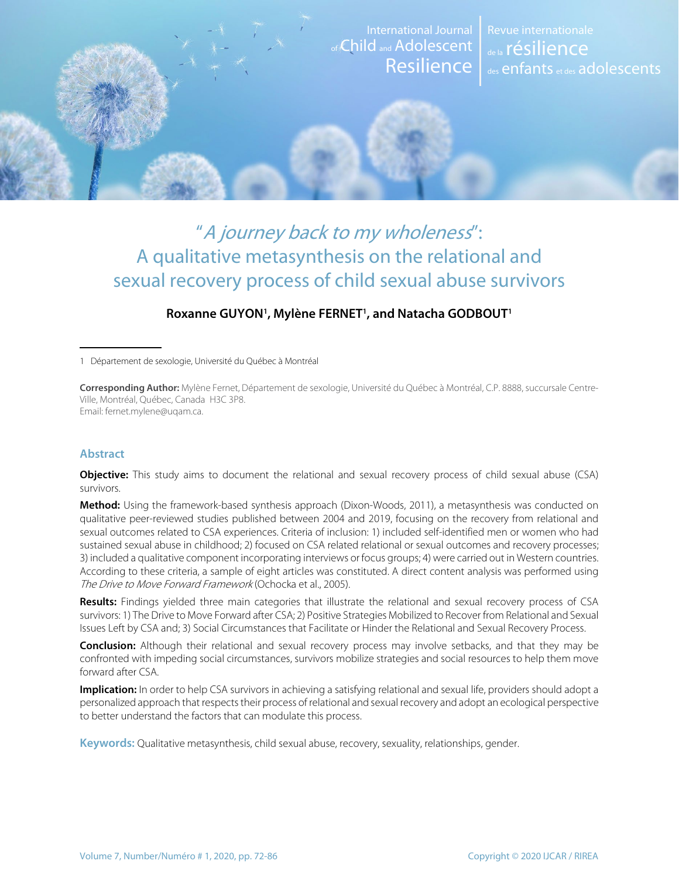

# "A journey back to my wholeness": A qualitative metasynthesis on the relational and sexual recovery process of child sexual abuse survivors

#### **Roxanne GUYON1 , Mylène FERNET1 , and Natacha GODBOUT1**

1 Département de sexologie, Université du Québec à Montréal

**Corresponding Author:** Mylène Fernet, Département de sexologie, Université du Québec à Montréal, C.P. 8888, succursale Centre-Ville, Montréal, Québec, Canada H3C 3P8. Email: fernet.mylene@uqam.ca.

#### **Abstract**

**Objective:** This study aims to document the relational and sexual recovery process of child sexual abuse (CSA) survivors.

**Method:** Using the framework-based synthesis approach (Dixon-Woods, 2011), a metasynthesis was conducted on qualitative peer-reviewed studies published between 2004 and 2019, focusing on the recovery from relational and sexual outcomes related to CSA experiences. Criteria of inclusion: 1) included self-identified men or women who had sustained sexual abuse in childhood; 2) focused on CSA related relational or sexual outcomes and recovery processes; 3) included a qualitative component incorporating interviews or focus groups; 4) were carried out in Western countries. According to these criteria, a sample of eight articles was constituted. A direct content analysis was performed using The Drive to Move Forward Framework (Ochocka et al., 2005).

**Results:** Findings yielded three main categories that illustrate the relational and sexual recovery process of CSA survivors: 1) The Drive to Move Forward after CSA; 2) Positive Strategies Mobilized to Recover from Relational and Sexual Issues Left by CSA and; 3) Social Circumstances that Facilitate or Hinder the Relational and Sexual Recovery Process.

**Conclusion:** Although their relational and sexual recovery process may involve setbacks, and that they may be confronted with impeding social circumstances, survivors mobilize strategies and social resources to help them move forward after CSA.

**Implication:** In order to help CSA survivors in achieving a satisfying relational and sexual life, providers should adopt a personalized approach that respects their process of relational and sexual recovery and adopt an ecological perspective to better understand the factors that can modulate this process.

**Keywords:** Qualitative metasynthesis, child sexual abuse, recovery, sexuality, relationships, gender.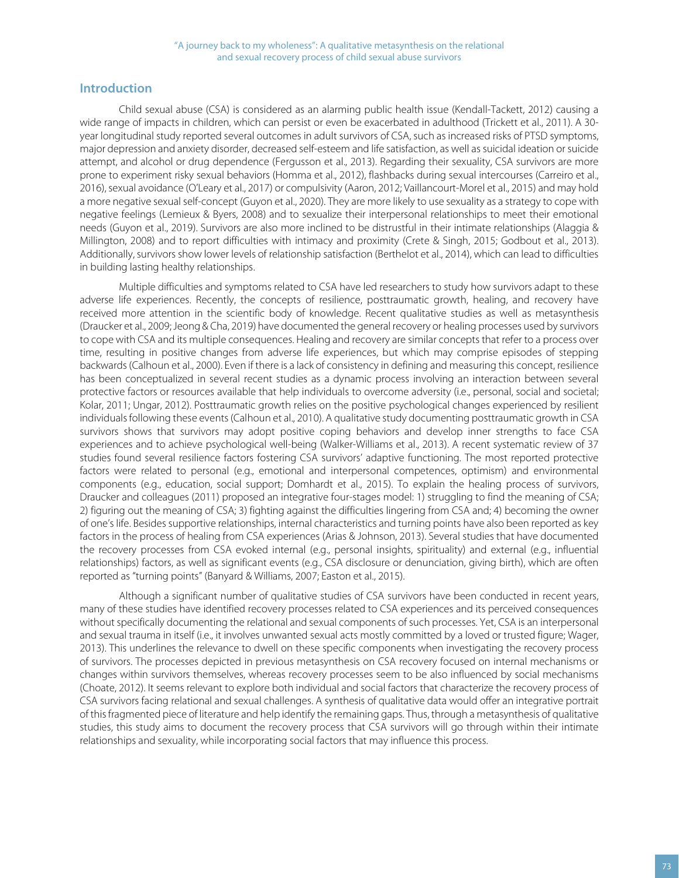## **Introduction**

Child sexual abuse (CSA) is considered as an alarming public health issue (Kendall-Tackett, 2012) causing a wide range of impacts in children, which can persist or even be exacerbated in adulthood (Trickett et al., 2011). A 30 year longitudinal study reported several outcomes in adult survivors of CSA, such as increased risks of PTSD symptoms, major depression and anxiety disorder, decreased self-esteem and life satisfaction, as well as suicidal ideation or suicide attempt, and alcohol or drug dependence (Fergusson et al., 2013). Regarding their sexuality, CSA survivors are more prone to experiment risky sexual behaviors (Homma et al., 2012), flashbacks during sexual intercourses (Carreiro et al., 2016), sexual avoidance (O'Leary et al., 2017) or compulsivity (Aaron, 2012; Vaillancourt-Morel et al., 2015) and may hold a more negative sexual self-concept (Guyon et al., 2020). They are more likely to use sexuality as a strategy to cope with negative feelings (Lemieux & Byers, 2008) and to sexualize their interpersonal relationships to meet their emotional needs (Guyon et al., 2019). Survivors are also more inclined to be distrustful in their intimate relationships (Alaggia & Millington, 2008) and to report difficulties with intimacy and proximity (Crete & Singh, 2015; Godbout et al., 2013). Additionally, survivors show lower levels of relationship satisfaction (Berthelot et al., 2014), which can lead to difficulties in building lasting healthy relationships.

Multiple difficulties and symptoms related to CSA have led researchers to study how survivors adapt to these adverse life experiences. Recently, the concepts of resilience, posttraumatic growth, healing, and recovery have received more attention in the scientific body of knowledge. Recent qualitative studies as well as metasynthesis (Draucker et al., 2009; Jeong & Cha, 2019) have documented the general recovery or healing processes used by survivors to cope with CSA and its multiple consequences. Healing and recovery are similar concepts that refer to a process over time, resulting in positive changes from adverse life experiences, but which may comprise episodes of stepping backwards (Calhoun et al., 2000). Even if there is a lack of consistency in defining and measuring this concept, resilience has been conceptualized in several recent studies as a dynamic process involving an interaction between several protective factors or resources available that help individuals to overcome adversity (i.e., personal, social and societal; Kolar, 2011; Ungar, 2012). Posttraumatic growth relies on the positive psychological changes experienced by resilient individuals following these events (Calhoun et al., 2010). A qualitative study documenting posttraumatic growth in CSA survivors shows that survivors may adopt positive coping behaviors and develop inner strengths to face CSA experiences and to achieve psychological well-being (Walker-Williams et al., 2013). A recent systematic review of 37 studies found several resilience factors fostering CSA survivors' adaptive functioning. The most reported protective factors were related to personal (e.g., emotional and interpersonal competences, optimism) and environmental components (e.g., education, social support; Domhardt et al., 2015). To explain the healing process of survivors, Draucker and colleagues (2011) proposed an integrative four-stages model: 1) struggling to find the meaning of CSA; 2) figuring out the meaning of CSA; 3) fighting against the difficulties lingering from CSA and; 4) becoming the owner of one's life. Besides supportive relationships, internal characteristics and turning points have also been reported as key factors in the process of healing from CSA experiences (Arias & Johnson, 2013). Several studies that have documented the recovery processes from CSA evoked internal (e.g., personal insights, spirituality) and external (e.g., influential relationships) factors, as well as significant events (e.g., CSA disclosure or denunciation, giving birth), which are often reported as "turning points" (Banyard & Williams, 2007; Easton et al., 2015).

Although a significant number of qualitative studies of CSA survivors have been conducted in recent years, many of these studies have identified recovery processes related to CSA experiences and its perceived consequences without specifically documenting the relational and sexual components of such processes. Yet, CSA is an interpersonal and sexual trauma in itself (i.e., it involves unwanted sexual acts mostly committed by a loved or trusted figure; Wager, 2013). This underlines the relevance to dwell on these specific components when investigating the recovery process of survivors. The processes depicted in previous metasynthesis on CSA recovery focused on internal mechanisms or changes within survivors themselves, whereas recovery processes seem to be also influenced by social mechanisms (Choate, 2012). It seems relevant to explore both individual and social factors that characterize the recovery process of CSA survivors facing relational and sexual challenges. A synthesis of qualitative data would offer an integrative portrait of this fragmented piece of literature and help identify the remaining gaps. Thus, through a metasynthesis of qualitative studies, this study aims to document the recovery process that CSA survivors will go through within their intimate relationships and sexuality, while incorporating social factors that may influence this process.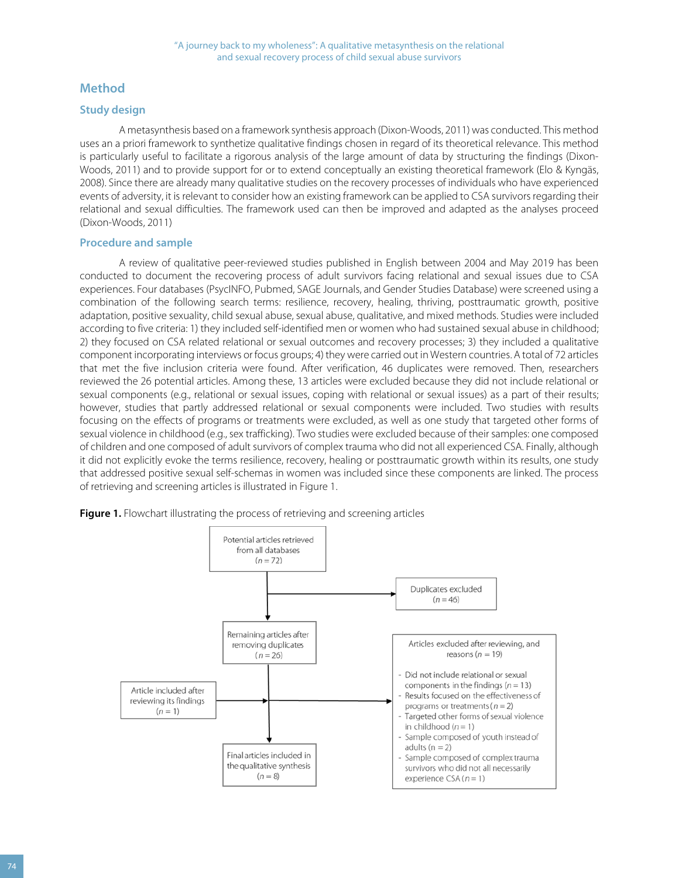#### **Method**

#### **Study design**

A metasynthesis based on a framework synthesis approach (Dixon-Woods, 2011) was conducted. This method uses an a priori framework to synthetize qualitative findings chosen in regard of its theoretical relevance. This method is particularly useful to facilitate a rigorous analysis of the large amount of data by structuring the findings (Dixon-Woods, 2011) and to provide support for or to extend conceptually an existing theoretical framework (Elo & Kyngäs, 2008). Since there are already many qualitative studies on the recovery processes of individuals who have experienced events of adversity, it is relevant to consider how an existing framework can be applied to CSA survivors regarding their relational and sexual difficulties. The framework used can then be improved and adapted as the analyses proceed (Dixon-Woods, 2011)

#### **Procedure and sample**

A review of qualitative peer-reviewed studies published in English between 2004 and May 2019 has been conducted to document the recovering process of adult survivors facing relational and sexual issues due to CSA experiences. Four databases (PsycINFO, Pubmed, SAGE Journals, and Gender Studies Database) were screened using a combination of the following search terms: resilience, recovery, healing, thriving, posttraumatic growth, positive adaptation, positive sexuality, child sexual abuse, sexual abuse, qualitative, and mixed methods. Studies were included according to five criteria: 1) they included self-identified men or women who had sustained sexual abuse in childhood; 2) they focused on CSA related relational or sexual outcomes and recovery processes; 3) they included a qualitative component incorporating interviews or focus groups; 4) they were carried out in Western countries. A total of 72 articles that met the five inclusion criteria were found. After verification, 46 duplicates were removed. Then, researchers reviewed the 26 potential articles. Among these, 13 articles were excluded because they did not include relational or sexual components (e.g., relational or sexual issues, coping with relational or sexual issues) as a part of their results; however, studies that partly addressed relational or sexual components were included. Two studies with results focusing on the effects of programs or treatments were excluded, as well as one study that targeted other forms of sexual violence in childhood (e.g., sex trafficking). Two studies were excluded because of their samples: one composed of children and one composed of adult survivors of complex trauma who did not all experienced CSA. Finally, although it did not explicitly evoke the terms resilience, recovery, healing or posttraumatic growth within its results, one study that addressed positive sexual self-schemas in women was included since these components are linked. The process of retrieving and screening articles is illustrated in Figure 1.



**Figure 1.** Flowchart illustrating the process of retrieving and screening articles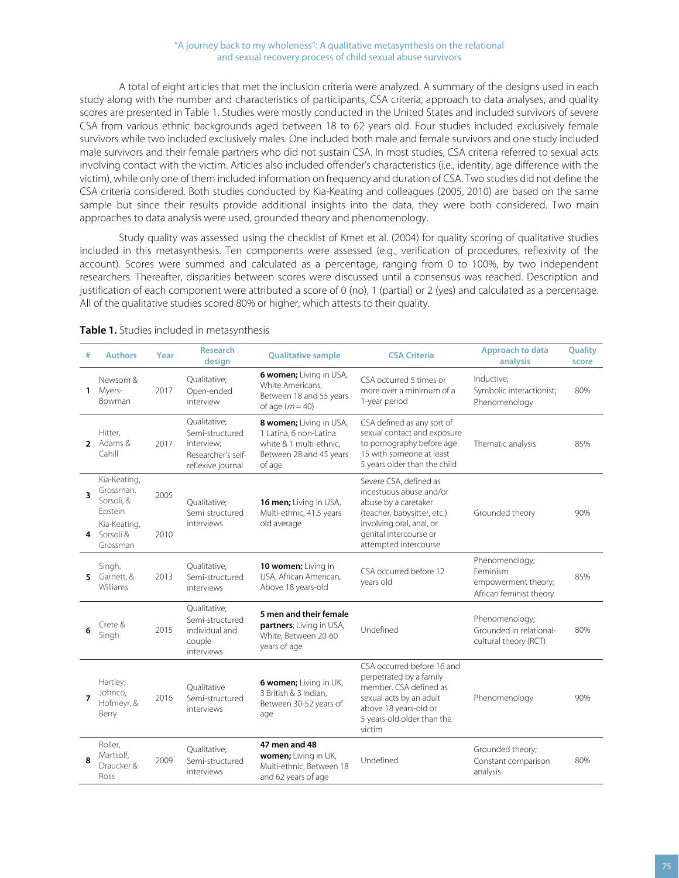#### "A journey back to my wholeness": A qualitative metasynthesis on the relational and sexual recovery process of child sexual abuse survivors

A total of eight articles that met the inclusion criteria were analyzed. A summary of the designs used in each study along with the number and characteristics of participants, CSA criteria, approach to data analyses, and quality scores are presented in Table 1. Studies were mostly conducted in the United States and included survivors of severe CSA from various ethnic backgrounds aged between 18 to 62 years old. Four studies included exclusively female survivors while two included exclusively males. One included both male and female survivors and one study included male survivors and their female partners who did not sustain CSA. In most studies, CSA criteria referred to sexual acts involving contact with the victim. Articles also included offender's characteristics (i.e., identity, age difference with the victim), while only one of them included information on frequency and duration of CSA. Two studies did not define the CSA criteria considered. Both studies conducted by Kia-Keating and colleagues (2005, 2010) are based on the same sample but since their results provide additional insights into the data, they were both considered. Two main approaches to data analysis were used, grounded theory and phenomenology.

Study quality was assessed using the checklist of Kmet et al. (2004) for quality scoring of qualitative studies included in this metasynthesis. Ten components were assessed (e.g., verification of procedures, reflexivity of the account). Scores were summed and calculated as a percentage, ranging from 0 to 100%, by two independent researchers. Thereafter, disparities between scores were discussed until a consensus was reached. Description and justification of each component were attributed a score of 0 (no), 1 (partial) or 2 (yes) and calculated as a percentage. All of the qualitative studies scored 80% or higher, which attests to their quality.

| # | <b>Authors</b>                                                                                | Year         | <b>Research</b><br>design                                                                | <b>Qualitative sample</b>                                                                                         | <b>CSA Criteria</b>                                                                                                                                                                     | Approach to data<br>analysis                                                 | Quality<br>score |
|---|-----------------------------------------------------------------------------------------------|--------------|------------------------------------------------------------------------------------------|-------------------------------------------------------------------------------------------------------------------|-----------------------------------------------------------------------------------------------------------------------------------------------------------------------------------------|------------------------------------------------------------------------------|------------------|
|   | Newsom &<br>1 Myers-<br><b>Bowman</b>                                                         | 2017         | Qualitative;<br>Open-ended<br>interview                                                  | 6 women; Living in USA,<br>White Americans,<br>Between 18 and 55 years<br>of age $(m=40)$                         | CSA occurred 5 times or<br>more over a minimum of a<br>1-year period                                                                                                                    | Inductive;<br>Symbolic interactionist;<br>Phenomenology                      | 80%              |
|   | Hitter,<br>2 Adams &<br>Cahill                                                                | 2017         | Qualitative;<br>Semi-structured<br>interview:<br>Researcher's self-<br>reflexive journal | 8 women; Living in USA,<br>1 Latina, 6 non-Latina<br>white & 1 multi-ethnic.<br>Between 28 and 45 years<br>of age | CSA defined as any sort of<br>sexual contact and exposure<br>to pornography before age<br>15 with someone at least<br>5 years older than the child                                      | Thematic analysis                                                            | 85%              |
| 3 | Kia-Keating,<br>Grossman,<br>Sorsoli, &<br>Epstein<br>Kia-Keating,<br>4 Sorsoli &<br>Grossman | 2005<br>2010 | Qualitative;<br>Semi-structured<br>interviews                                            | 16 men; Living in USA,<br>Multi-ethnic, 41.5 years<br>old average                                                 | Severe CSA, defined as<br>incestuous abuse and/or<br>abuse by a caretaker<br>(teacher, babysitter, etc.)<br>involving oral, anal, or<br>genital intercourse or<br>attempted intercourse | Grounded theory                                                              | 90%              |
|   | Singh,<br>5 Garnett, &<br>Williams                                                            | 2013         | Qualitative;<br>Semi-structured<br>interviews                                            | 10 women; Living in<br>USA, African American,<br>Above 18 years-old                                               | CSA occurred before 12<br>years old                                                                                                                                                     | Phenomenology;<br>Feminism<br>empowerment theory;<br>African feminist theory | 85%              |
| 6 | Crete &<br>Singh                                                                              | 2015         | Qualitative;<br>Semi-structured<br>individual and<br>couple<br>interviews                | 5 men and their female<br>partners; Living in USA,<br>White, Between 20-60<br>years of age                        | Undefined                                                                                                                                                                               | Phenomenology;<br>Grounded in relational-<br>cultural theory (RCT)           | 80%              |
| 7 | Hartley,<br>Johnco,<br>Hofmeyr, &<br>Berry                                                    | 2016         | Oualitative<br>Semi-structured<br>interviews                                             | 6 women; Living in UK,<br>3 British & 3 Indian,<br>Between 30-52 years of<br>age                                  | CSA occurred before 16 and<br>perpetrated by a family<br>member. CSA defined as<br>sexual acts by an adult<br>above 18 years-old or<br>5 years-old older than the<br>victim             | Phenomenology                                                                | 90%              |
| 8 | Roller,<br>Martsolf,<br>Draucker &<br>Ross                                                    | 2009         | Qualitative;<br>Semi-structured<br>interviews                                            | 47 men and 48<br>women; Living in UK,<br>Multi-ethnic, Between 18<br>and 62 years of age                          | Undefined                                                                                                                                                                               | Grounded theory;<br>Constant comparison<br>analysis                          | 80%              |

#### **Table 1.** Studies included in metasynthesis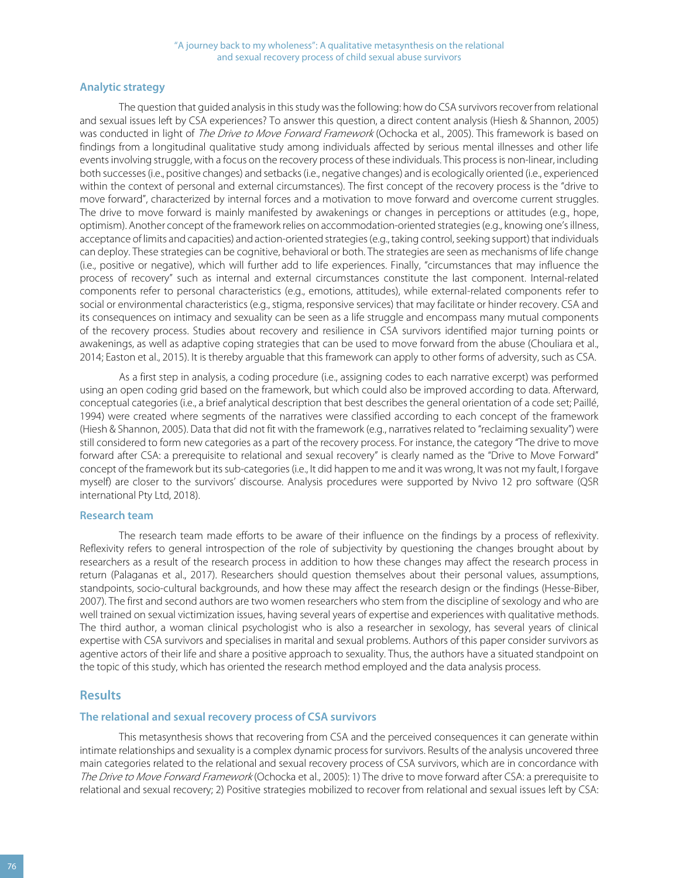#### **Analytic strategy**

The question that guided analysis in this study was the following: how do CSA survivors recover from relational and sexual issues left by CSA experiences? To answer this question, a direct content analysis (Hiesh & Shannon, 2005) was conducted in light of The Drive to Move Forward Framework (Ochocka et al., 2005). This framework is based on findings from a longitudinal qualitative study among individuals affected by serious mental illnesses and other life events involving struggle, with a focus on the recovery process of these individuals. This process is non-linear, including both successes (i.e., positive changes) and setbacks (i.e., negative changes) and is ecologically oriented (i.e., experienced within the context of personal and external circumstances). The first concept of the recovery process is the "drive to move forward", characterized by internal forces and a motivation to move forward and overcome current struggles. The drive to move forward is mainly manifested by awakenings or changes in perceptions or attitudes (e.g., hope, optimism). Another concept of the framework relies on accommodation-oriented strategies (e.g., knowing one's illness, acceptance of limits and capacities) and action-oriented strategies (e.g., taking control, seeking support) that individuals can deploy. These strategies can be cognitive, behavioral or both. The strategies are seen as mechanisms of life change (i.e., positive or negative), which will further add to life experiences. Finally, "circumstances that may influence the process of recovery" such as internal and external circumstances constitute the last component. Internal-related components refer to personal characteristics (e.g., emotions, attitudes), while external-related components refer to social or environmental characteristics (e.g., stigma, responsive services) that may facilitate or hinder recovery. CSA and its consequences on intimacy and sexuality can be seen as a life struggle and encompass many mutual components of the recovery process. Studies about recovery and resilience in CSA survivors identified major turning points or awakenings, as well as adaptive coping strategies that can be used to move forward from the abuse (Chouliara et al., 2014; Easton et al., 2015). It is thereby arguable that this framework can apply to other forms of adversity, such as CSA.

As a first step in analysis, a coding procedure (i.e., assigning codes to each narrative excerpt) was performed using an open coding grid based on the framework, but which could also be improved according to data. Afterward, conceptual categories (i.e., a brief analytical description that best describes the general orientation of a code set; Paillé, 1994) were created where segments of the narratives were classified according to each concept of the framework (Hiesh & Shannon, 2005). Data that did not fit with the framework (e.g., narratives related to "reclaiming sexuality") were still considered to form new categories as a part of the recovery process. For instance, the category "The drive to move forward after CSA: a prerequisite to relational and sexual recovery" is clearly named as the "Drive to Move Forward" concept of the framework but its sub-categories (i.e., It did happen to me and it was wrong, It was not my fault, I forgave myself) are closer to the survivors' discourse. Analysis procedures were supported by Nvivo 12 pro software (QSR international Pty Ltd, 2018).

#### **Research team**

The research team made efforts to be aware of their influence on the findings by a process of reflexivity. Reflexivity refers to general introspection of the role of subjectivity by questioning the changes brought about by researchers as a result of the research process in addition to how these changes may affect the research process in return (Palaganas et al., 2017). Researchers should question themselves about their personal values, assumptions, standpoints, socio-cultural backgrounds, and how these may affect the research design or the findings (Hesse-Biber, 2007). The first and second authors are two women researchers who stem from the discipline of sexology and who are well trained on sexual victimization issues, having several years of expertise and experiences with qualitative methods. The third author, a woman clinical psychologist who is also a researcher in sexology, has several years of clinical expertise with CSA survivors and specialises in marital and sexual problems. Authors of this paper consider survivors as agentive actors of their life and share a positive approach to sexuality. Thus, the authors have a situated standpoint on the topic of this study, which has oriented the research method employed and the data analysis process.

#### **Results**

#### **The relational and sexual recovery process of CSA survivors**

This metasynthesis shows that recovering from CSA and the perceived consequences it can generate within intimate relationships and sexuality is a complex dynamic process for survivors. Results of the analysis uncovered three main categories related to the relational and sexual recovery process of CSA survivors, which are in concordance with The Drive to Move Forward Framework (Ochocka et al., 2005): 1) The drive to move forward after CSA: a prerequisite to relational and sexual recovery; 2) Positive strategies mobilized to recover from relational and sexual issues left by CSA: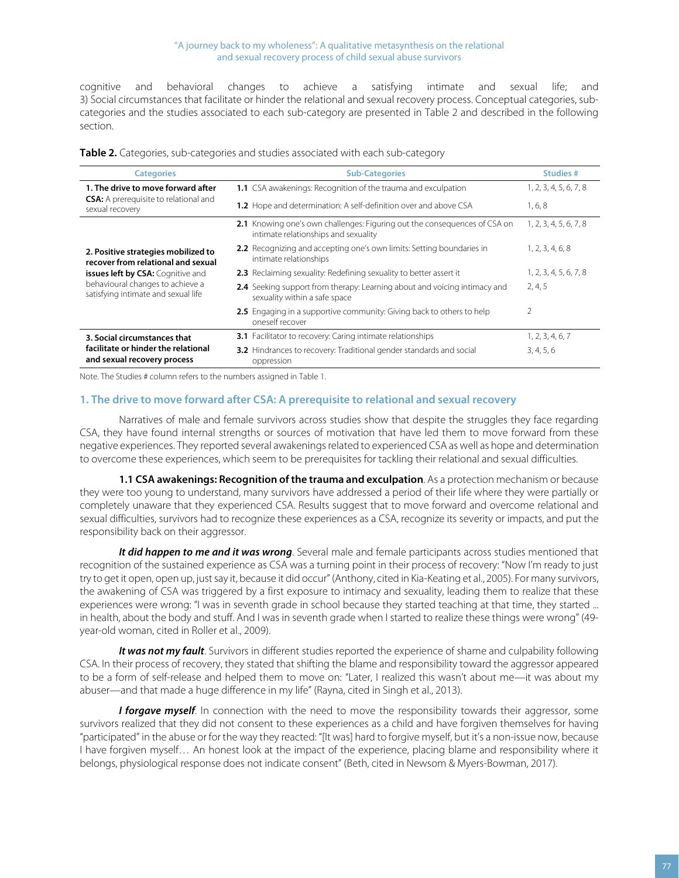cognitive and behavioral changes to achieve a satisfying intimate and sexual life; and 3) Social circumstances that facilitate or hinder the relational and sexual recovery process. Conceptual categories, subcategories and the studies associated to each sub-category are presented in Table 2 and described in the following section.

|  |  | Table 2. Categories, sub-categories and studies associated with each sub-category |
|--|--|-----------------------------------------------------------------------------------|
|  |  |                                                                                   |

| <b>Categories</b>                                                         | <b>Sub-Categories</b>                                                                                             | Studies #              |
|---------------------------------------------------------------------------|-------------------------------------------------------------------------------------------------------------------|------------------------|
| 1. The drive to move forward after                                        | 1.1 CSA awakenings: Recognition of the trauma and exculpation                                                     | 1, 2, 3, 4, 5, 6, 7, 8 |
| <b>CSA:</b> A prerequisite to relational and<br>sexual recovery           | 1.2 Hope and determination: A self-definition over and above CSA                                                  | 1, 6, 8                |
|                                                                           | 2.1 Knowing one's own challenges: Figuring out the consequences of CSA on<br>intimate relationships and sexuality | 1, 2, 3, 4, 5, 6, 7, 8 |
| 2. Positive strategies mobilized to<br>recover from relational and sexual | 2.2 Recognizing and accepting one's own limits: Setting boundaries in<br>intimate relationships                   | 1, 2, 3, 4, 6, 8       |
| <b>issues left by CSA:</b> Cognitive and                                  | 2.3 Reclaiming sexuality: Redefining sexuality to better assert it                                                | 1, 2, 3, 4, 5, 6, 7, 8 |
| behavioural changes to achieve a<br>satisfying intimate and sexual life   | 2.4 Seeking support from therapy: Learning about and voicing intimacy and<br>sexuality within a safe space        | 2, 4, 5                |
|                                                                           | 2.5 Engaging in a supportive community: Giving back to others to help<br>oneself recover                          | $\overline{2}$         |
| 3. Social circumstances that                                              | 3.1 Facilitator to recovery: Caring intimate relationships                                                        | 1, 2, 3, 4, 6, 7       |
| facilitate or hinder the relational<br>and sexual recovery process        | <b>3.2</b> Hindrances to recovery: Traditional gender standards and social<br>oppression                          | 3, 4, 5, 6             |

Note. The Studies # column refers to the numbers assigned in Table 1.

#### **1. The drive to move forward after CSA: A prerequisite to relational and sexual recovery**

Narratives of male and female survivors across studies show that despite the struggles they face regarding CSA, they have found internal strengths or sources of motivation that have led them to move forward from these negative experiences. They reported several awakenings related to experienced CSA as well as hope and determination to overcome these experiences, which seem to be prerequisites for tackling their relational and sexual difficulties.

**1.1 CSA awakenings: Recognition of the trauma and exculpation**. As a protection mechanism or because they were too young to understand, many survivors have addressed a period of their life where they were partially or completely unaware that they experienced CSA. Results suggest that to move forward and overcome relational and sexual difficulties, survivors had to recognize these experiences as a CSA, recognize its severity or impacts, and put the responsibility back on their aggressor.

*It did happen to me and it was wrong*. Several male and female participants across studies mentioned that recognition of the sustained experience as CSA was a turning point in their process of recovery: "Now I'm ready to just try to get it open, open up, just say it, because it did occur" (Anthony, cited in Kia-Keating et al., 2005). For many survivors, the awakening of CSA was triggered by a first exposure to intimacy and sexuality, leading them to realize that these experiences were wrong: "I was in seventh grade in school because they started teaching at that time, they started ... in health, about the body and stuff. And I was in seventh grade when I started to realize these things were wrong" (49 year-old woman, cited in Roller et al., 2009).

*It was not my fault*. Survivors in different studies reported the experience of shame and culpability following CSA. In their process of recovery, they stated that shifting the blame and responsibility toward the aggressor appeared to be a form of self-release and helped them to move on: "Later, I realized this wasn't about me—it was about my abuser—and that made a huge difference in my life" (Rayna, cited in Singh et al., 2013).

*I forgave myself.* In connection with the need to move the responsibility towards their aggressor, some survivors realized that they did not consent to these experiences as a child and have forgiven themselves for having "participated" in the abuse or for the way they reacted: "[It was] hard to forgive myself, but it's a non-issue now, because I have forgiven myself… An honest look at the impact of the experience, placing blame and responsibility where it belongs, physiological response does not indicate consent" (Beth, cited in Newsom & Myers-Bowman, 2017).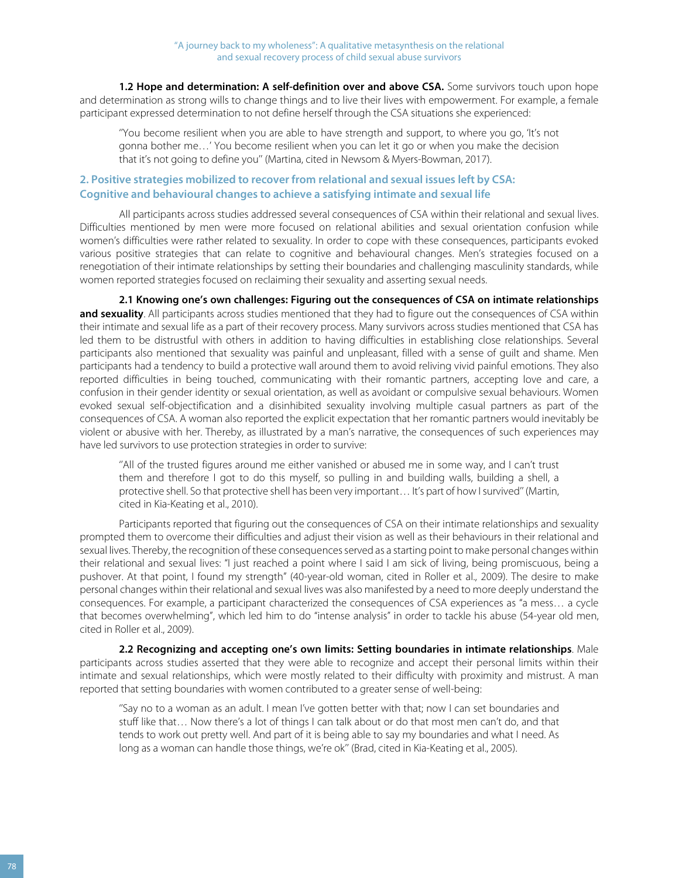**1.2 Hope and determination: A self-definition over and above CSA.** Some survivors touch upon hope and determination as strong wills to change things and to live their lives with empowerment. For example, a female participant expressed determination to not define herself through the CSA situations she experienced:

''You become resilient when you are able to have strength and support, to where you go, 'It's not gonna bother me…' You become resilient when you can let it go or when you make the decision that it's not going to define you'' (Martina, cited in Newsom & Myers-Bowman, 2017).

#### **2. Positive strategies mobilized to recover from relational and sexual issues left by CSA: Cognitive and behavioural changes to achieve a satisfying intimate and sexual life**

All participants across studies addressed several consequences of CSA within their relational and sexual lives. Difficulties mentioned by men were more focused on relational abilities and sexual orientation confusion while women's difficulties were rather related to sexuality. In order to cope with these consequences, participants evoked various positive strategies that can relate to cognitive and behavioural changes. Men's strategies focused on a renegotiation of their intimate relationships by setting their boundaries and challenging masculinity standards, while women reported strategies focused on reclaiming their sexuality and asserting sexual needs.

**2.1 Knowing one's own challenges: Figuring out the consequences of CSA on intimate relationships and sexuality**. All participants across studies mentioned that they had to figure out the consequences of CSA within their intimate and sexual life as a part of their recovery process. Many survivors across studies mentioned that CSA has led them to be distrustful with others in addition to having difficulties in establishing close relationships. Several participants also mentioned that sexuality was painful and unpleasant, filled with a sense of guilt and shame. Men participants had a tendency to build a protective wall around them to avoid reliving vivid painful emotions. They also reported difficulties in being touched, communicating with their romantic partners, accepting love and care, a confusion in their gender identity or sexual orientation, as well as avoidant or compulsive sexual behaviours. Women evoked sexual self-objectification and a disinhibited sexuality involving multiple casual partners as part of the consequences of CSA. A woman also reported the explicit expectation that her romantic partners would inevitably be violent or abusive with her. Thereby, as illustrated by a man's narrative, the consequences of such experiences may have led survivors to use protection strategies in order to survive:

''All of the trusted figures around me either vanished or abused me in some way, and I can't trust them and therefore I got to do this myself, so pulling in and building walls, building a shell, a protective shell. So that protective shell has been very important... It's part of how I survived" (Martin, cited in Kia-Keating et al., 2010).

Participants reported that figuring out the consequences of CSA on their intimate relationships and sexuality prompted them to overcome their difficulties and adjust their vision as well as their behaviours in their relational and sexual lives. Thereby, the recognition of these consequences served as a starting point to make personal changes within their relational and sexual lives: "I just reached a point where I said I am sick of living, being promiscuous, being a pushover. At that point, I found my strength" (40-year-old woman, cited in Roller et al., 2009). The desire to make personal changes within their relational and sexual lives was also manifested by a need to more deeply understand the consequences. For example, a participant characterized the consequences of CSA experiences as "a mess… a cycle that becomes overwhelming", which led him to do "intense analysis" in order to tackle his abuse (54-year old men, cited in Roller et al., 2009).

**2.2 Recognizing and accepting one's own limits: Setting boundaries in intimate relationships**. Male participants across studies asserted that they were able to recognize and accept their personal limits within their intimate and sexual relationships, which were mostly related to their difficulty with proximity and mistrust. A man reported that setting boundaries with women contributed to a greater sense of well-being:

''Say no to a woman as an adult. I mean I've gotten better with that; now I can set boundaries and stuff like that… Now there's a lot of things I can talk about or do that most men can't do, and that tends to work out pretty well. And part of it is being able to say my boundaries and what I need. As long as a woman can handle those things, we're ok'' (Brad, cited in Kia-Keating et al., 2005).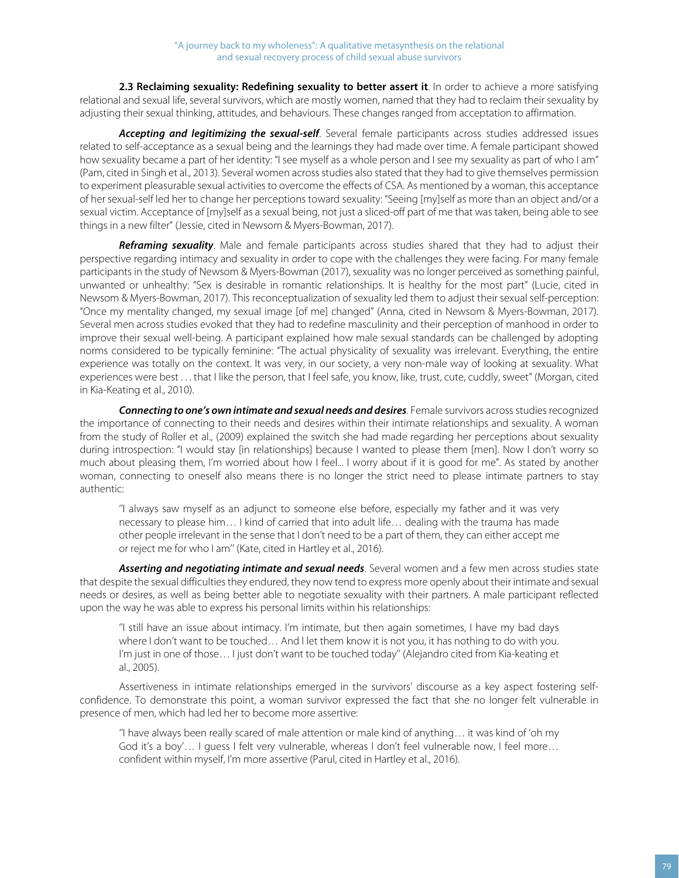**2.3 Reclaiming sexuality: Redefining sexuality to better assert it**. In order to achieve a more satisfying relational and sexual life, several survivors, which are mostly women, named that they had to reclaim their sexuality by adjusting their sexual thinking, attitudes, and behaviours. These changes ranged from acceptation to affirmation.

*Accepting and legitimizing the sexual-self*. Several female participants across studies addressed issues related to self-acceptance as a sexual being and the learnings they had made over time. A female participant showed how sexuality became a part of her identity: "I see myself as a whole person and I see my sexuality as part of who I am" (Pam, cited in Singh et al., 2013). Several women across studies also stated that they had to give themselves permission to experiment pleasurable sexual activities to overcome the effects of CSA. As mentioned by a woman, this acceptance of her sexual-self led her to change her perceptions toward sexuality: "Seeing [my]self as more than an object and/or a sexual victim. Acceptance of [my]self as a sexual being, not just a sliced-off part of me that was taken, being able to see things in a new filter" (Jessie, cited in Newsom & Myers-Bowman, 2017).

*Reframing sexuality*. Male and female participants across studies shared that they had to adjust their perspective regarding intimacy and sexuality in order to cope with the challenges they were facing. For many female participants in the study of Newsom & Myers-Bowman (2017), sexuality was no longer perceived as something painful, unwanted or unhealthy: "Sex is desirable in romantic relationships. It is healthy for the most part" (Lucie, cited in Newsom & Myers-Bowman, 2017). This reconceptualization of sexuality led them to adjust their sexual self-perception: "Once my mentality changed, my sexual image [of me] changed" (Anna, cited in Newsom & Myers-Bowman, 2017). Several men across studies evoked that they had to redefine masculinity and their perception of manhood in order to improve their sexual well-being. A participant explained how male sexual standards can be challenged by adopting norms considered to be typically feminine: "The actual physicality of sexuality was irrelevant. Everything, the entire experience was totally on the context. It was very, in our society, a very non-male way of looking at sexuality. What experiences were best . . . that I like the person, that I feel safe, you know, like, trust, cute, cuddly, sweet" (Morgan, cited in Kia-Keating et al., 2010).

*Connecting to one's own intimate and sexual needs and desires*. Female survivors across studies recognized the importance of connecting to their needs and desires within their intimate relationships and sexuality. A woman from the study of Roller et al., (2009) explained the switch she had made regarding her perceptions about sexuality during introspection: "I would stay [in relationships] because I wanted to please them [men]. Now I don't worry so much about pleasing them, I'm worried about how I feel... I worry about if it is good for me". As stated by another woman, connecting to oneself also means there is no longer the strict need to please intimate partners to stay authentic:

''I always saw myself as an adjunct to someone else before, especially my father and it was very necessary to please him… I kind of carried that into adult life… dealing with the trauma has made other people irrelevant in the sense that I don't need to be a part of them, they can either accept me or reject me for who I am'' (Kate, cited in Hartley et al., 2016).

*Asserting and negotiating intimate and sexual needs*. Several women and a few men across studies state that despite the sexual difficulties they endured, they now tend to express more openly about their intimate and sexual needs or desires, as well as being better able to negotiate sexuality with their partners. A male participant reflected upon the way he was able to express his personal limits within his relationships:

''I still have an issue about intimacy. I'm intimate, but then again sometimes, I have my bad days where I don't want to be touched… And I let them know it is not you, it has nothing to do with you. I'm just in one of those… I just don't want to be touched today'' (Alejandro cited from Kia-keating et al., 2005).

Assertiveness in intimate relationships emerged in the survivors' discourse as a key aspect fostering selfconfidence. To demonstrate this point, a woman survivor expressed the fact that she no longer felt vulnerable in presence of men, which had led her to become more assertive:

''I have always been really scared of male attention or male kind of anything… it was kind of 'oh my God it's a boy'... I quess I felt very vulnerable, whereas I don't feel vulnerable now, I feel more... confident within myself, I'm more assertive (Parul, cited in Hartley et al., 2016).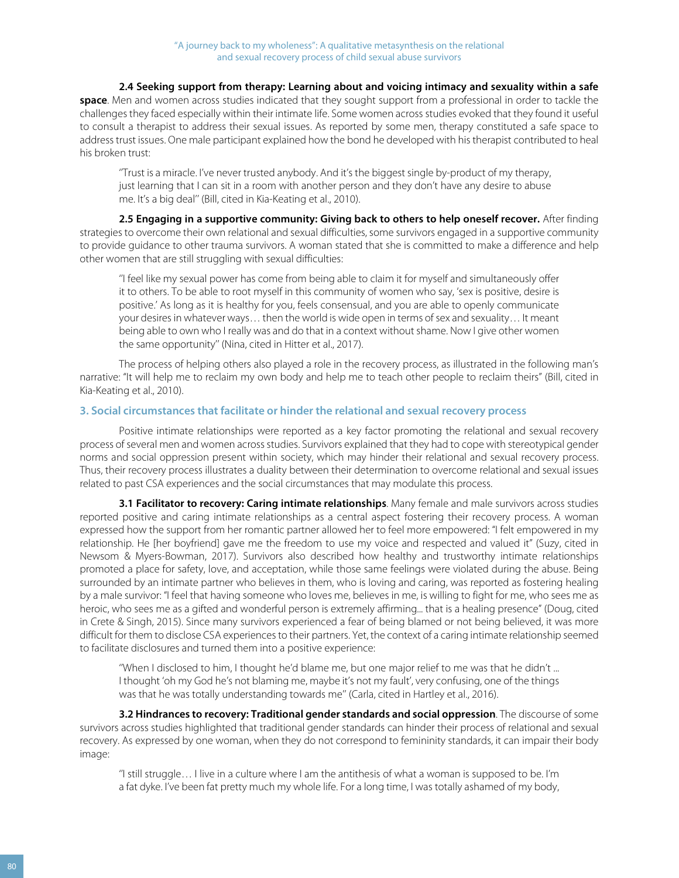#### **2.4 Seeking support from therapy: Learning about and voicing intimacy and sexuality within a safe**

**space**. Men and women across studies indicated that they sought support from a professional in order to tackle the challenges they faced especially within their intimate life. Some women across studies evoked that they found it useful to consult a therapist to address their sexual issues. As reported by some men, therapy constituted a safe space to address trust issues. One male participant explained how the bond he developed with his therapist contributed to heal his broken trust:

''Trust is a miracle. I've never trusted anybody. And it's the biggest single by-product of my therapy, just learning that I can sit in a room with another person and they don't have any desire to abuse me. It's a big deal'' (Bill, cited in Kia-Keating et al., 2010).

**2.5 Engaging in a supportive community: Giving back to others to help oneself recover.** After finding strategies to overcome their own relational and sexual difficulties, some survivors engaged in a supportive community to provide guidance to other trauma survivors. A woman stated that she is committed to make a difference and help other women that are still struggling with sexual difficulties:

''I feel like my sexual power has come from being able to claim it for myself and simultaneously offer it to others. To be able to root myself in this community of women who say, 'sex is positive, desire is positive.' As long as it is healthy for you, feels consensual, and you are able to openly communicate your desires in whatever ways… then the world is wide open in terms of sex and sexuality… It meant being able to own who I really was and do that in a context without shame. Now I give other women the same opportunity'' (Nina, cited in Hitter et al., 2017).

The process of helping others also played a role in the recovery process, as illustrated in the following man's narrative: "It will help me to reclaim my own body and help me to teach other people to reclaim theirs" (Bill, cited in Kia-Keating et al., 2010).

#### **3. Social circumstances that facilitate or hinder the relational and sexual recovery process**

Positive intimate relationships were reported as a key factor promoting the relational and sexual recovery process of several men and women across studies. Survivors explained that they had to cope with stereotypical gender norms and social oppression present within society, which may hinder their relational and sexual recovery process. Thus, their recovery process illustrates a duality between their determination to overcome relational and sexual issues related to past CSA experiences and the social circumstances that may modulate this process.

**3.1 Facilitator to recovery: Caring intimate relationships**. Many female and male survivors across studies reported positive and caring intimate relationships as a central aspect fostering their recovery process. A woman expressed how the support from her romantic partner allowed her to feel more empowered: "I felt empowered in my relationship. He [her boyfriend] gave me the freedom to use my voice and respected and valued it" (Suzy, cited in Newsom & Myers-Bowman, 2017). Survivors also described how healthy and trustworthy intimate relationships promoted a place for safety, love, and acceptation, while those same feelings were violated during the abuse. Being surrounded by an intimate partner who believes in them, who is loving and caring, was reported as fostering healing by a male survivor: "I feel that having someone who loves me, believes in me, is willing to fight for me, who sees me as heroic, who sees me as a gifted and wonderful person is extremely affirming... that is a healing presence" (Doug, cited in Crete & Singh, 2015). Since many survivors experienced a fear of being blamed or not being believed, it was more difficult for them to disclose CSA experiences to their partners. Yet, the context of a caring intimate relationship seemed to facilitate disclosures and turned them into a positive experience:

''When I disclosed to him, I thought he'd blame me, but one major relief to me was that he didn't ... I thought 'oh my God he's not blaming me, maybe it's not my fault', very confusing, one of the things was that he was totally understanding towards me'' (Carla, cited in Hartley et al., 2016).

**3.2 Hindrances to recovery: Traditional gender standards and social oppression**. The discourse of some survivors across studies highlighted that traditional gender standards can hinder their process of relational and sexual recovery. As expressed by one woman, when they do not correspond to femininity standards, it can impair their body image:

''I still struggle… I live in a culture where I am the antithesis of what a woman is supposed to be. I'm a fat dyke. I've been fat pretty much my whole life. For a long time, I was totally ashamed of my body,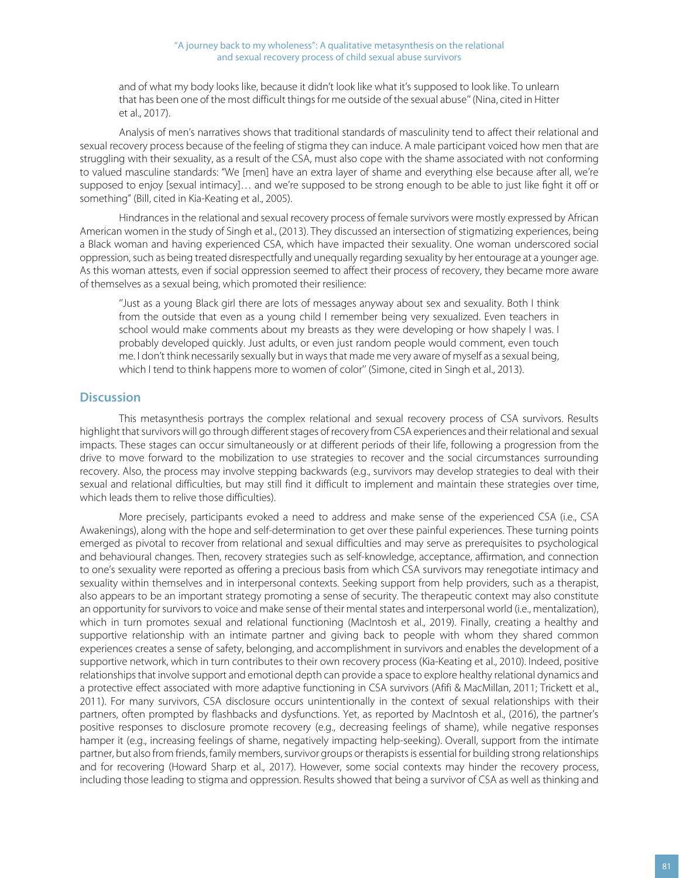and of what my body looks like, because it didn't look like what it's supposed to look like. To unlearn that has been one of the most difficult things for me outside of the sexual abuse'' (Nina, cited in Hitter et al., 2017).

Analysis of men's narratives shows that traditional standards of masculinity tend to affect their relational and sexual recovery process because of the feeling of stigma they can induce. A male participant voiced how men that are struggling with their sexuality, as a result of the CSA, must also cope with the shame associated with not conforming to valued masculine standards: "We [men] have an extra layer of shame and everything else because after all, we're supposed to enjoy [sexual intimacy]… and we're supposed to be strong enough to be able to just like fight it off or something" (Bill, cited in Kia-Keating et al., 2005).

Hindrances in the relational and sexual recovery process of female survivors were mostly expressed by African American women in the study of Singh et al., (2013). They discussed an intersection of stigmatizing experiences, being a Black woman and having experienced CSA, which have impacted their sexuality. One woman underscored social oppression, such as being treated disrespectfully and unequally regarding sexuality by her entourage at a younger age. As this woman attests, even if social oppression seemed to affect their process of recovery, they became more aware of themselves as a sexual being, which promoted their resilience:

''Just as a young Black girl there are lots of messages anyway about sex and sexuality. Both I think from the outside that even as a young child I remember being very sexualized. Even teachers in school would make comments about my breasts as they were developing or how shapely I was. I probably developed quickly. Just adults, or even just random people would comment, even touch me. I don't think necessarily sexually but in ways that made me very aware of myself as a sexual being, which I tend to think happens more to women of color" (Simone, cited in Singh et al., 2013).

#### **Discussion**

This metasynthesis portrays the complex relational and sexual recovery process of CSA survivors. Results highlight that survivors will go through different stages of recovery from CSA experiences and their relational and sexual impacts. These stages can occur simultaneously or at different periods of their life, following a progression from the drive to move forward to the mobilization to use strategies to recover and the social circumstances surrounding recovery. Also, the process may involve stepping backwards (e.g., survivors may develop strategies to deal with their sexual and relational difficulties, but may still find it difficult to implement and maintain these strategies over time, which leads them to relive those difficulties).

More precisely, participants evoked a need to address and make sense of the experienced CSA (i.e., CSA Awakenings), along with the hope and self-determination to get over these painful experiences. These turning points emerged as pivotal to recover from relational and sexual difficulties and may serve as prerequisites to psychological and behavioural changes. Then, recovery strategies such as self-knowledge, acceptance, affirmation, and connection to one's sexuality were reported as offering a precious basis from which CSA survivors may renegotiate intimacy and sexuality within themselves and in interpersonal contexts. Seeking support from help providers, such as a therapist, also appears to be an important strategy promoting a sense of security. The therapeutic context may also constitute an opportunity for survivors to voice and make sense of their mental states and interpersonal world (i.e., mentalization), which in turn promotes sexual and relational functioning (MacIntosh et al., 2019). Finally, creating a healthy and supportive relationship with an intimate partner and giving back to people with whom they shared common experiences creates a sense of safety, belonging, and accomplishment in survivors and enables the development of a supportive network, which in turn contributes to their own recovery process (Kia-Keating et al., 2010). Indeed, positive relationships that involve support and emotional depth can provide a space to explore healthy relational dynamics and a protective effect associated with more adaptive functioning in CSA survivors (Afifi & MacMillan, 2011; Trickett et al., 2011). For many survivors, CSA disclosure occurs unintentionally in the context of sexual relationships with their partners, often prompted by flashbacks and dysfunctions. Yet, as reported by MacIntosh et al., (2016), the partner's positive responses to disclosure promote recovery (e.g., decreasing feelings of shame), while negative responses hamper it (e.g., increasing feelings of shame, negatively impacting help-seeking). Overall, support from the intimate partner, but also from friends, family members, survivor groups or therapists is essential for building strong relationships and for recovering (Howard Sharp et al., 2017). However, some social contexts may hinder the recovery process, including those leading to stigma and oppression. Results showed that being a survivor of CSA as well as thinking and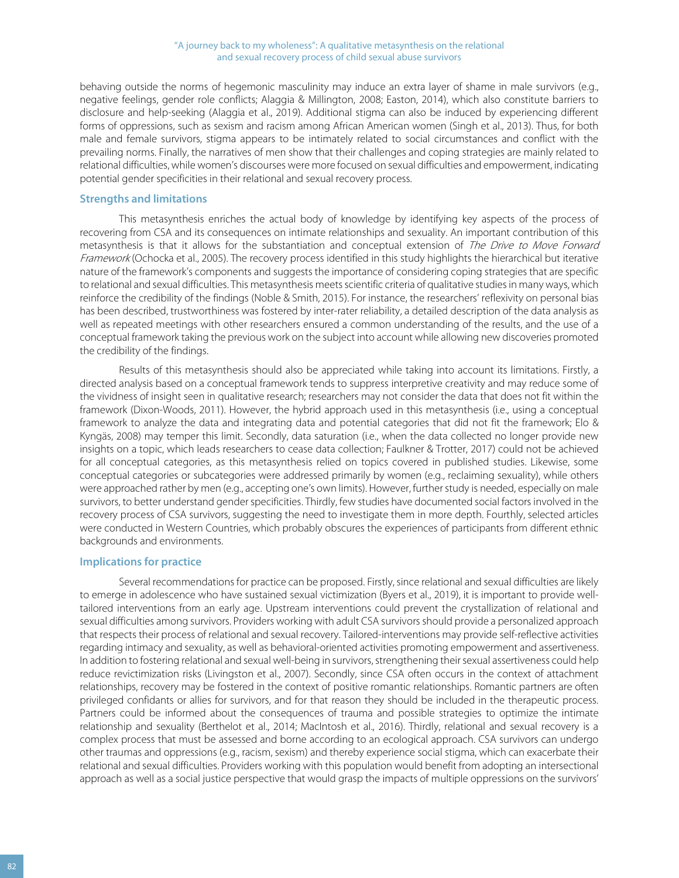behaving outside the norms of hegemonic masculinity may induce an extra layer of shame in male survivors (e.g., negative feelings, gender role conflicts; Alaggia & Millington, 2008; Easton, 2014), which also constitute barriers to disclosure and help-seeking (Alaggia et al., 2019). Additional stigma can also be induced by experiencing different forms of oppressions, such as sexism and racism among African American women (Singh et al., 2013). Thus, for both male and female survivors, stigma appears to be intimately related to social circumstances and conflict with the prevailing norms. Finally, the narratives of men show that their challenges and coping strategies are mainly related to relational difficulties, while women's discourses were more focused on sexual difficulties and empowerment, indicating potential gender specificities in their relational and sexual recovery process.

#### **Strengths and limitations**

This metasynthesis enriches the actual body of knowledge by identifying key aspects of the process of recovering from CSA and its consequences on intimate relationships and sexuality. An important contribution of this metasynthesis is that it allows for the substantiation and conceptual extension of The Drive to Move Forward Framework (Ochocka et al., 2005). The recovery process identified in this study highlights the hierarchical but iterative nature of the framework's components and suggests the importance of considering coping strategies that are specific to relational and sexual difficulties. This metasynthesis meets scientific criteria of qualitative studies in many ways, which reinforce the credibility of the findings (Noble & Smith, 2015). For instance, the researchers' reflexivity on personal bias has been described, trustworthiness was fostered by inter-rater reliability, a detailed description of the data analysis as well as repeated meetings with other researchers ensured a common understanding of the results, and the use of a conceptual framework taking the previous work on the subject into account while allowing new discoveries promoted the credibility of the findings.

Results of this metasynthesis should also be appreciated while taking into account its limitations. Firstly, a directed analysis based on a conceptual framework tends to suppress interpretive creativity and may reduce some of the vividness of insight seen in qualitative research; researchers may not consider the data that does not fit within the framework (Dixon-Woods, 2011). However, the hybrid approach used in this metasynthesis (i.e., using a conceptual framework to analyze the data and integrating data and potential categories that did not fit the framework; Elo & Kyngäs, 2008) may temper this limit. Secondly, data saturation (i.e., when the data collected no longer provide new insights on a topic, which leads researchers to cease data collection; Faulkner & Trotter, 2017) could not be achieved for all conceptual categories, as this metasynthesis relied on topics covered in published studies. Likewise, some conceptual categories or subcategories were addressed primarily by women (e.g., reclaiming sexuality), while others were approached rather by men (e.g., accepting one's own limits). However, further study is needed, especially on male survivors, to better understand gender specificities. Thirdly, few studies have documented social factors involved in the recovery process of CSA survivors, suggesting the need to investigate them in more depth. Fourthly, selected articles were conducted in Western Countries, which probably obscures the experiences of participants from different ethnic backgrounds and environments.

#### **Implications for practice**

Several recommendations for practice can be proposed. Firstly, since relational and sexual difficulties are likely to emerge in adolescence who have sustained sexual victimization (Byers et al., 2019), it is important to provide welltailored interventions from an early age. Upstream interventions could prevent the crystallization of relational and sexual difficulties among survivors. Providers working with adult CSA survivors should provide a personalized approach that respects their process of relational and sexual recovery. Tailored-interventions may provide self-reflective activities regarding intimacy and sexuality, as well as behavioral-oriented activities promoting empowerment and assertiveness. In addition to fostering relational and sexual well-being in survivors, strengthening their sexual assertiveness could help reduce revictimization risks (Livingston et al., 2007). Secondly, since CSA often occurs in the context of attachment relationships, recovery may be fostered in the context of positive romantic relationships. Romantic partners are often privileged confidants or allies for survivors, and for that reason they should be included in the therapeutic process. Partners could be informed about the consequences of trauma and possible strategies to optimize the intimate relationship and sexuality (Berthelot et al., 2014; MacIntosh et al., 2016). Thirdly, relational and sexual recovery is a complex process that must be assessed and borne according to an ecological approach. CSA survivors can undergo other traumas and oppressions (e.g., racism, sexism) and thereby experience social stigma, which can exacerbate their relational and sexual difficulties. Providers working with this population would benefit from adopting an intersectional approach as well as a social justice perspective that would grasp the impacts of multiple oppressions on the survivors'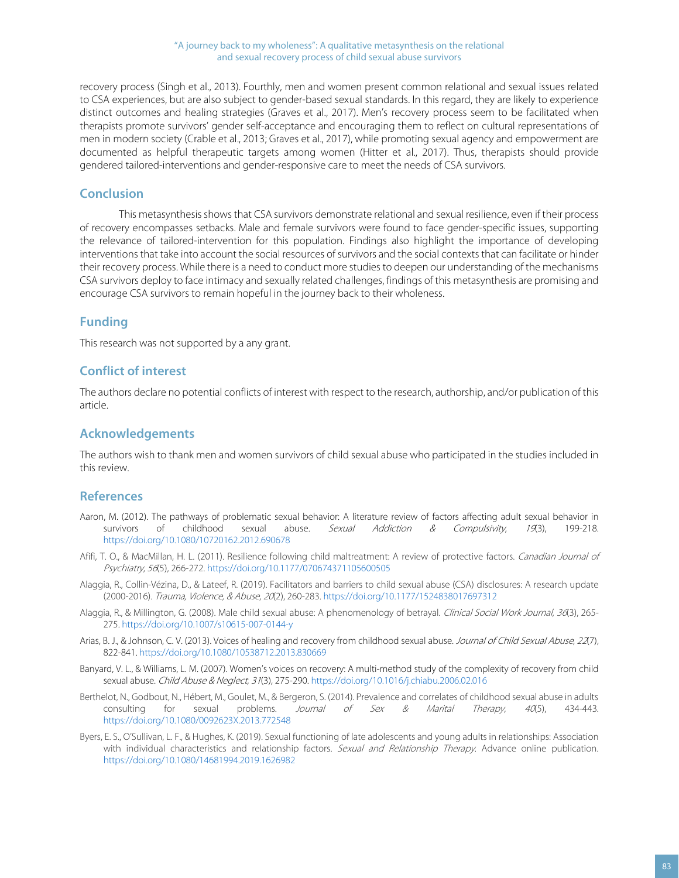recovery process (Singh et al., 2013). Fourthly, men and women present common relational and sexual issues related to CSA experiences, but are also subject to gender-based sexual standards. In this regard, they are likely to experience distinct outcomes and healing strategies (Graves et al., 2017). Men's recovery process seem to be facilitated when therapists promote survivors' gender self-acceptance and encouraging them to reflect on cultural representations of men in modern society (Crable et al., 2013; Graves et al., 2017), while promoting sexual agency and empowerment are documented as helpful therapeutic targets among women (Hitter et al., 2017). Thus, therapists should provide gendered tailored-interventions and gender-responsive care to meet the needs of CSA survivors.

### **Conclusion**

This metasynthesis shows that CSA survivors demonstrate relational and sexual resilience, even if their process of recovery encompasses setbacks. Male and female survivors were found to face gender-specific issues, supporting the relevance of tailored-intervention for this population. Findings also highlight the importance of developing interventions that take into account the social resources of survivors and the social contexts that can facilitate or hinder their recovery process. While there is a need to conduct more studies to deepen our understanding of the mechanisms CSA survivors deploy to face intimacy and sexually related challenges, findings of this metasynthesis are promising and encourage CSA survivors to remain hopeful in the journey back to their wholeness.

#### **Funding**

This research was not supported by a any grant.

## **Conflict of interest**

The authors declare no potential conflicts of interest with respect to the research, authorship, and/or publication of this article.

## **Acknowledgements**

The authors wish to thank men and women survivors of child sexual abuse who participated in the studies included in this review.

#### **References**

- Aaron, M. (2012). The pathways of problematic sexual behavior: A literature review of factors affecting adult sexual behavior in survivors of childhood sexual abuse. Sexual Addiction  $\&$  Compulsivity, 19(3), 199-218. <https://doi.org/10.1080/10720162.2012.690678>
- Afifi, T. O., & MacMillan, H. L. (2011). Resilience following child maltreatment: A review of protective factors. Canadian Journal of Psychiatry, 56(5), 266-272[. https://doi.org/10.1177/070674371105600505](https://doi.org/10.1177/070674371105600505)
- Alaggia, R., Collin-Vézina, D., & Lateef, R. (2019). Facilitators and barriers to child sexual abuse (CSA) disclosures: A research update (2000-2016). Trauma, Violence, & Abuse, 20(2), 260-283[. https://doi.org/10.1177/1524838017697312](https://doi.org/10.1177/1524838017697312)
- Alaggia, R., & Millington, G. (2008). Male child sexual abuse: A phenomenology of betrayal. Clinical Social Work Journal, 36(3), 265-275[. https://doi.org/10.1007/s10615-007-0144-y](https://doi.org/10.1007/s10615-007-0144-y)
- Arias, B. J., & Johnson, C. V. (2013). Voices of healing and recovery from childhood sexual abuse. Journal of Child Sexual Abuse, 22(7), 822-841.<https://doi.org/10.1080/10538712.2013.830669>
- Banyard, V. L., & Williams, L. M. (2007). Women's voices on recovery: A multi-method study of the complexity of recovery from child sexual abuse. Child Abuse & Neglect, 31(3), 275-290[. https://doi.org/10.1016/j.chiabu.2006.02.016](https://doi.org/10.1016/j.chiabu.2006.02.016)
- Berthelot, N., Godbout, N., Hébert, M., Goulet, M., & Bergeron, S. (2014). Prevalence and correlates of childhood sexual abuse in adults consulting for sexual problems. Journal of Sex & Marital Therapy, 40(5), 434-443. <https://doi.org/10.1080/0092623X.2013.772548>
- Byers, E. S., O'Sullivan, L. F., & Hughes, K. (2019). Sexual functioning of late adolescents and young adults in relationships: Association with individual characteristics and relationship factors. Sexual and Relationship Therapy. Advance online publication. <https://doi.org/10.1080/14681994.2019.1626982>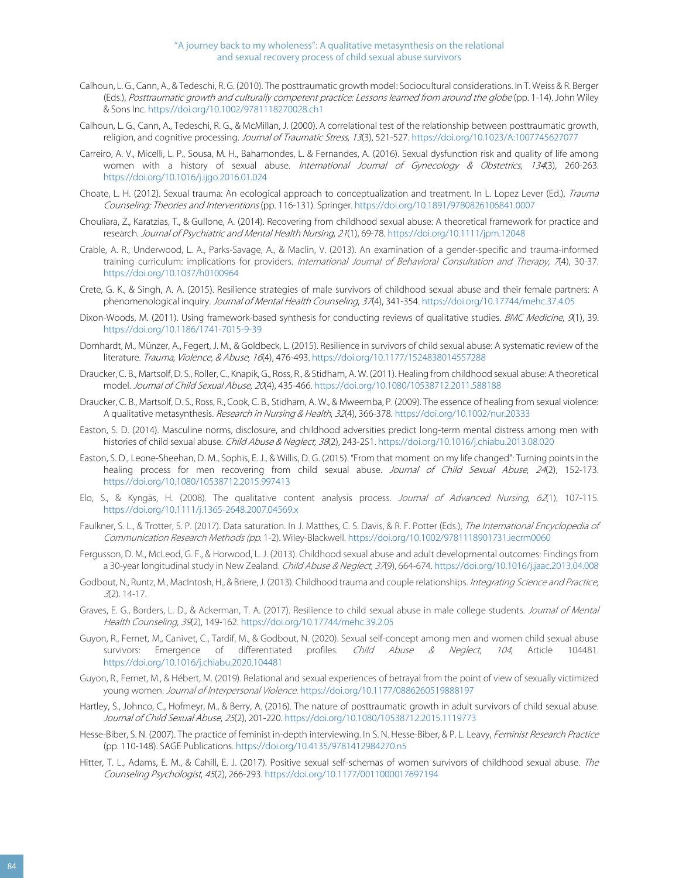- Calhoun, L. G., Cann, A., & Tedeschi, R. G. (2010). The posttraumatic growth model: Sociocultural considerations. In T. Weiss & R. Berger (Eds.), Posttraumatic growth and culturally competent practice: Lessons learned from around the globe (pp. 1-14). John Wiley & Sons Inc. <https://doi.org/10.1002/9781118270028.ch1>
- Calhoun, L. G., Cann, A., Tedeschi, R. G., & McMillan, J. (2000). A correlational test of the relationship between posttraumatic growth, religion, and cognitive processing. Journal of Traumatic Stress, 13(3), 521-527[. https://doi.org/10.1023/A:1007745627077](https://doi.org/10.1023/A:1007745627077)
- Carreiro, A. V., Micelli, L. P., Sousa, M. H., Bahamondes, L. & Fernandes, A. (2016). Sexual dysfunction risk and quality of life among women with a history of sexual abuse. International Journal of Gynecology & Obstetrics, 134(3), 260-263. <https://doi.org/10.1016/j.ijgo.2016.01.024>
- Choate, L. H. (2012). Sexual trauma: An ecological approach to conceptualization and treatment. In L. Lopez Lever (Ed.), Trauma Counseling: Theories and Interventions (pp. 116-131). Springer[. https://doi.org/10.1891/9780826106841.0007](https://doi.org/10.1891/9780826106841.0007)
- Chouliara, Z., Karatzias, T., & Gullone, A. (2014). Recovering from childhood sexual abuse: A theoretical framework for practice and research. Journal of Psychiatric and Mental Health Nursing, 21(1), 69-78[. https://doi.org/10.1111/jpm.12048](https://doi.org/10.1111/jpm.12048)
- Crable, A. R., Underwood, L. A., Parks-Savage, A., & Maclin, V. (2013). An examination of a gender-specific and trauma-informed training curriculum: implications for providers. International Journal of Behavioral Consultation and Therapy, 7(4), 30-37. <https://doi.org/10.1037/h0100964>
- Crete, G. K., & Singh, A. A. (2015). Resilience strategies of male survivors of childhood sexual abuse and their female partners: A phenomenological inquiry. Journal of Mental Health Counseling, 37(4), 341-354[. https://doi.org/10.17744/mehc.37.4.05](https://doi.org/10.17744/mehc.37.4.05)
- Dixon-Woods, M. (2011). Using framework-based synthesis for conducting reviews of qualitative studies. BMC Medicine, 9(1), 39. <https://doi.org/10.1186/1741-7015-9-39>
- Domhardt, M., Münzer, A., Fegert, J. M., & Goldbeck, L. (2015). Resilience in survivors of child sexual abuse: A systematic review of the literature. Trauma, Violence, & Abuse, 16(4), 476-493[. https://doi.org/10.1177/1524838014557288](https://doi.org/10.1177/1524838014557288)
- Draucker, C. B., Martsolf, D. S., Roller, C., Knapik, G., Ross, R., & Stidham, A. W. (2011). Healing from childhood sexual abuse: A theoretical model. Journal of Child Sexual Abuse, 20(4), 435-466[. https://doi.org/10.1080/10538712.2011.588188](https://doi.org/10.1080/10538712.2011.588188)
- Draucker, C. B., Martsolf, D. S., Ross, R., Cook, C. B., Stidham, A. W., & Mweemba, P. (2009). The essence of healing from sexual violence: A qualitative metasynthesis. Research in Nursing & Health, 32(4), 366-378[. https://doi.org/10.1002/nur.20333](https://doi.org/10.1002/nur.20333)
- Easton, S. D. (2014). Masculine norms, disclosure, and childhood adversities predict long-term mental distress among men with histories of child sexual abuse. Child Abuse & Neglect, 38(2), 243-251[. https://doi.org/10.1016/j.chiabu.2013.08.020](https://doi.org/10.1016/j.chiabu.2013.08.020)
- Easton, S. D., Leone-Sheehan, D. M., Sophis, E. J., & Willis, D. G. (2015). "From that moment on my life changed": Turning points in the healing process for men recovering from child sexual abuse. Journal of Child Sexual Abuse, 24(2), 152-173. <https://doi.org/10.1080/10538712.2015.997413>
- Elo, S., & Kyngäs, H. (2008). The qualitative content analysis process. Journal of Advanced Nursing, 62(1), 107-115. <https://doi.org/10.1111/j.1365-2648.2007.04569.x>
- Faulkner, S. L., & Trotter, S. P. (2017). Data saturation. In J. Matthes, C. S. Davis, & R. F. Potter (Eds.), The International Encyclopedia of Communication Research Methods (pp. 1-2). Wiley-Blackwell. <https://doi.org/10.1002/9781118901731.iecrm0060>
- Fergusson, D. M., McLeod, G. F., & Horwood, L. J. (2013). Childhood sexual abuse and adult developmental outcomes: Findings from a 30-year longitudinal study in New Zealand. Child Abuse & Neglect, 37(9), 664-674[. https://doi.org/10.1016/j.jaac.2013.04.008](https://doi.org/10.1016/j.jaac.2013.04.008)
- Godbout, N., Runtz, M., MacIntosh, H., & Briere, J. (2013). Childhood trauma and couple relationships. Integrating Science and Practice, <sup>3</sup>(2). 14-17.
- Graves, E. G., Borders, L. D., & Ackerman, T. A. (2017). Resilience to child sexual abuse in male college students. Journal of Mental Health Counseling, 39(2), 149-162[. https://doi.org/10.17744/mehc.39.2.05](https://doi.org/10.17744/mehc.39.2.05)
- Guyon, R., Fernet, M., Canivet, C., Tardif, M., & Godbout, N. (2020). Sexual self-concept among men and women child sexual abuse survivors: Emergence of differentiated profiles. Child Abuse & Neglect, 104, Article 104481. <https://doi.org/10.1016/j.chiabu.2020.104481>
- Guyon, R., Fernet, M., & Hébert, M. (2019). Relational and sexual experiences of betrayal from the point of view of sexually victimized young women. Journal of Interpersonal Violence. <https://doi.org/10.1177/0886260519888197>
- Hartley, S., Johnco, C., Hofmeyr, M., & Berry, A. (2016). The nature of posttraumatic growth in adult survivors of child sexual abuse. Journal of Child Sexual Abuse, 25(2), 201-220[. https://doi.org/10.1080/10538712.2015.1119773](https://doi.org/10.1080/10538712.2015.1119773)
- Hesse-Biber, S. N. (2007). The practice of feminist in-depth interviewing. In S. N. Hesse-Biber, & P. L. Leavy, Feminist Research Practice (pp. 110-148). SAGE Publications[. https://doi.org/10.4135/9781412984270.n5](https://doi.org/10.4135/9781412984270.n5)
- Hitter, T. L., Adams, E. M., & Cahill, E. J. (2017). Positive sexual self-schemas of women survivors of childhood sexual abuse. The Counseling Psychologist, 45(2), 266-293[. https://doi.org/10.1177/0011000017697194](https://doi.org/10.1177/0011000017697194)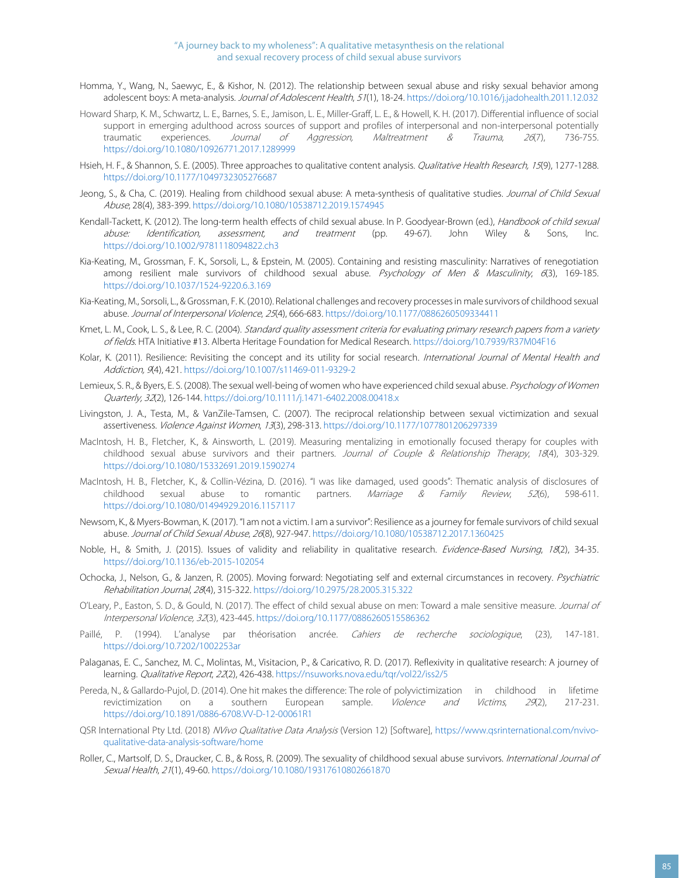- Homma, Y., Wang, N., Saewyc, E., & Kishor, N. (2012). The relationship between sexual abuse and risky sexual behavior among adolescent boys: A meta-analysis. Journal of Adolescent Health, 51(1), 18-24[. https://doi.org/10.1016/j.jadohealth.2011.12.032](https://doi.org/10.1016/j.jadohealth.2011.12.032)
- Howard Sharp, K. M., Schwartz, L. E., Barnes, S. E., Jamison, L. E., Miller-Graff, L. E., & Howell, K. H. (2017). Differential influence of social support in emerging adulthood across sources of support and profiles of interpersonal and non-interpersonal potentially traumatic experiences. Journal of Aggression, Maltreatment & Trauma, 26(7), 736-755. <https://doi.org/10.1080/10926771.2017.1289999>
- Hsieh, H. F., & Shannon, S. E. (2005). Three approaches to qualitative content analysis. *Qualitative Health Research, 15*(9), 1277-1288. <https://doi.org/10.1177/1049732305276687>
- Jeong, S., & Cha, C. (2019). Healing from childhood sexual abuse: A meta-synthesis of qualitative studies. Journal of Child Sexual Abuse, 28(4), 383-399[. https://doi.org/10.1080/10538712.2019.1574945](https://doi.org/10.1080/10538712.2019.1574945)
- Kendall-Tackett, K. (2012). The long-term health effects of child sexual abuse. In P. Goodyear-Brown (ed.), Handbook of child sexual abuse: Identification, assessment, and treatment (pp. 49-67). John Wiley & Sons, <https://doi.org/10.1002/9781118094822.ch3>
- Kia-Keating, M., Grossman, F. K., Sorsoli, L., & Epstein, M. (2005). Containing and resisting masculinity: Narratives of renegotiation among resilient male survivors of childhood sexual abuse. Psychology of Men & Masculinity, 6(3), 169-185. <https://doi.org/10.1037/1524-9220.6.3.169>
- Kia-Keating, M., Sorsoli, L., & Grossman, F. K. (2010). Relational challenges and recovery processes in male survivors of childhood sexual abuse. Journal of Interpersonal Violence, 25(4), 666-683[. https://doi.org/10.1177/0886260509334411](https://doi.org/10.1177/0886260509334411)
- Kmet, L. M., Cook, L. S., & Lee, R. C. (2004). Standard quality assessment criteria for evaluating primary research papers from a variety of fields. HTA Initiative #13. Alberta Heritage Foundation for Medical Research. <https://doi.org/10.7939/R37M04F16>
- Kolar, K. (2011). Resilience: Revisiting the concept and its utility for social research. International Journal of Mental Health and Addiction, 9(4), 421[. https://doi.org/10.1007/s11469-011-9329-2](https://doi.org/10.1007/s11469-011-9329-2)
- Lemieux, S. R., & Byers, E. S. (2008). The sexual well-being of women who have experienced child sexual abuse. Psychology of Women Quarterly, 32(2), 126-144[. https://doi.org/10.1111/j.1471-6402.2008.00418.x](https://doi.org/10.1111/j.1471-6402.2008.00418.x)
- Livingston, J. A., Testa, M., & VanZile-Tamsen, C. (2007). The reciprocal relationship between sexual victimization and sexual assertiveness. Violence Against Women, 13(3), 298-313. <https://doi.org/10.1177/1077801206297339>
- MacIntosh, H. B., Fletcher, K., & Ainsworth, L. (2019). Measuring mentalizing in emotionally focused therapy for couples with childhood sexual abuse survivors and their partners. Journal of Couple & Relationship Therapy, 18(4), 303-329. <https://doi.org/10.1080/15332691.2019.1590274>
- MacIntosh, H. B., Fletcher, K., & Collin-Vézina, D. (2016). "I was like damaged, used goods": Thematic analysis of disclosures of childhood sexual abuse to romantic partners. Marriage & Family Review, 52(6), 598-611. <https://doi.org/10.1080/01494929.2016.1157117>
- Newsom, K., & Myers-Bowman, K. (2017). "I am not a victim. I am a survivor": Resilience as a journey for female survivors of child sexual abuse. Journal of Child Sexual Abuse, 26(8), 927-947[. https://doi.org/10.1080/10538712.2017.1360425](https://doi.org/10.1080/10538712.2017.1360425)
- Noble, H., & Smith, J. (2015). Issues of validity and reliability in qualitative research. Evidence-Based Nursing, 18(2), 34-35. <https://doi.org/10.1136/eb-2015-102054>
- Ochocka, J., Nelson, G., & Janzen, R. (2005). Moving forward: Negotiating self and external circumstances in recovery. Psychiatric Rehabilitation Journal, 28(4), 315-322[. https://doi.org/10.2975/28.2005.315.322](https://doi.org/10.2975/28.2005.315.322)
- O'Leary, P., Easton, S. D., & Gould, N. (2017). The effect of child sexual abuse on men: Toward a male sensitive measure. Journal of Interpersonal Violence, 32(3), 423-445[. https://doi.org/10.1177/0886260515586362](https://doi.org/10.1177/0886260515586362)
- Paillé, P. (1994). L'analyse par théorisation ancrée. Cahiers de recherche sociologique, (23), 147-181. <https://doi.org/10.7202/1002253ar>
- Palaganas, E. C., Sanchez, M. C., Molintas, M., Visitacion, P., & Caricativo, R. D. (2017). Reflexivity in qualitative research: A journey of learning. Qualitative Report, 22(2), 426-438[. https://nsuworks.nova.edu/tqr/vol22/iss2/5](https://nsuworks.nova.edu/tqr/vol22/iss2/5)
- Pereda, N., & Gallardo-Pujol, D. (2014). One hit makes the difference: The role of polyvictimization in childhood in lifetime revictimization on a southern European sample. Violence and Victims, 29(2), 217-231. <https://doi.org/10.1891/0886-6708.VV-D-12-00061R1>
- QSR International Pty Ltd. (2018) NVivo Qualitative Data Analysis (Version 12) [Software][, https://www.qsrinternational.com/nvivo](https://www.qsrinternational.com/nvivo-qualitative-data-analysis-software/home)[qualitative-data-analysis-software/home](https://www.qsrinternational.com/nvivo-qualitative-data-analysis-software/home)
- Roller, C., Martsolf, D. S., Draucker, C. B., & Ross, R. (2009). The sexuality of childhood sexual abuse survivors. International Journal of Sexual Health, 21(1), 49-60[. https://doi.org/10.1080/19317610802661870](https://doi.org/10.1080/19317610802661870)